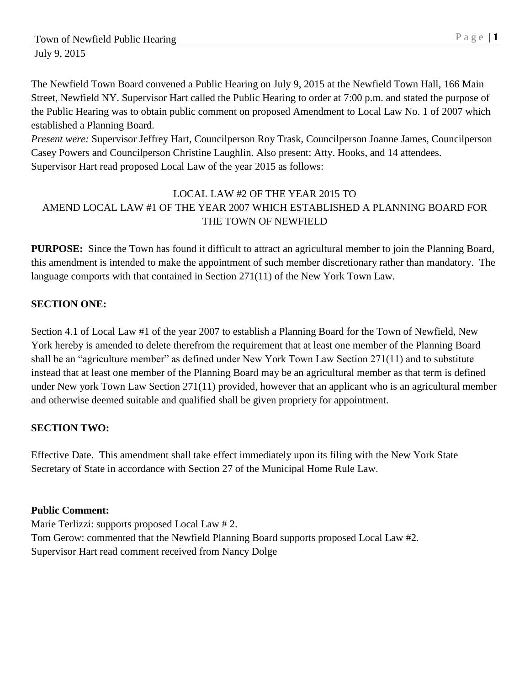The Newfield Town Board convened a Public Hearing on July 9, 2015 at the Newfield Town Hall, 166 Main Street, Newfield NY. Supervisor Hart called the Public Hearing to order at 7:00 p.m. and stated the purpose of the Public Hearing was to obtain public comment on proposed Amendment to Local Law No. 1 of 2007 which established a Planning Board.

*Present were:* Supervisor Jeffrey Hart, Councilperson Roy Trask, Councilperson Joanne James, Councilperson Casey Powers and Councilperson Christine Laughlin. Also present: Atty. Hooks, and 14 attendees. Supervisor Hart read proposed Local Law of the year 2015 as follows:

## LOCAL LAW #2 OF THE YEAR 2015 TO AMEND LOCAL LAW #1 OF THE YEAR 2007 WHICH ESTABLISHED A PLANNING BOARD FOR THE TOWN OF NEWFIELD

**PURPOSE:** Since the Town has found it difficult to attract an agricultural member to join the Planning Board, this amendment is intended to make the appointment of such member discretionary rather than mandatory. The language comports with that contained in Section 271(11) of the New York Town Law.

## **SECTION ONE:**

Section 4.1 of Local Law #1 of the year 2007 to establish a Planning Board for the Town of Newfield, New York hereby is amended to delete therefrom the requirement that at least one member of the Planning Board shall be an "agriculture member" as defined under New York Town Law Section 271(11) and to substitute instead that at least one member of the Planning Board may be an agricultural member as that term is defined under New york Town Law Section 271(11) provided, however that an applicant who is an agricultural member and otherwise deemed suitable and qualified shall be given propriety for appointment.

## **SECTION TWO:**

Effective Date. This amendment shall take effect immediately upon its filing with the New York State Secretary of State in accordance with Section 27 of the Municipal Home Rule Law.

## **Public Comment:**

Marie Terlizzi: supports proposed Local Law # 2. Tom Gerow: commented that the Newfield Planning Board supports proposed Local Law #2. Supervisor Hart read comment received from Nancy Dolge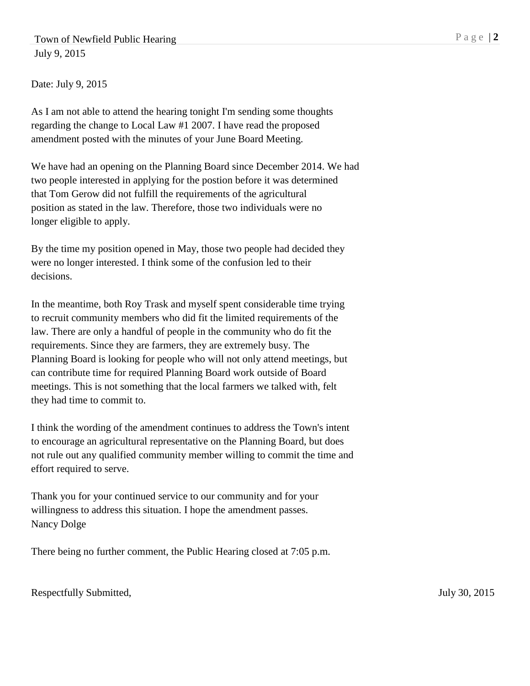Town of Newfield Public Hearing P a g e | 2 July 9, 2015

Date: July 9, 2015

As I am not able to attend the hearing tonight I'm sending some thoughts regarding the change to Local Law #1 2007. I have read the proposed amendment posted with the minutes of your June Board Meeting.

We have had an opening on the Planning Board since December 2014. We had two people interested in applying for the postion before it was determined that Tom Gerow did not fulfill the requirements of the agricultural position as stated in the law. Therefore, those two individuals were no longer eligible to apply.

By the time my position opened in May, those two people had decided they were no longer interested. I think some of the confusion led to their decisions.

In the meantime, both Roy Trask and myself spent considerable time trying to recruit community members who did fit the limited requirements of the law. There are only a handful of people in the community who do fit the requirements. Since they are farmers, they are extremely busy. The Planning Board is looking for people who will not only attend meetings, but can contribute time for required Planning Board work outside of Board meetings. This is not something that the local farmers we talked with, felt they had time to commit to.

I think the wording of the amendment continues to address the Town's intent to encourage an agricultural representative on the Planning Board, but does not rule out any qualified community member willing to commit the time and effort required to serve.

Thank you for your continued service to our community and for your willingness to address this situation. I hope the amendment passes. Nancy Dolge

There being no further comment, the Public Hearing closed at 7:05 p.m.

Respectfully Submitted, July 30, 2015